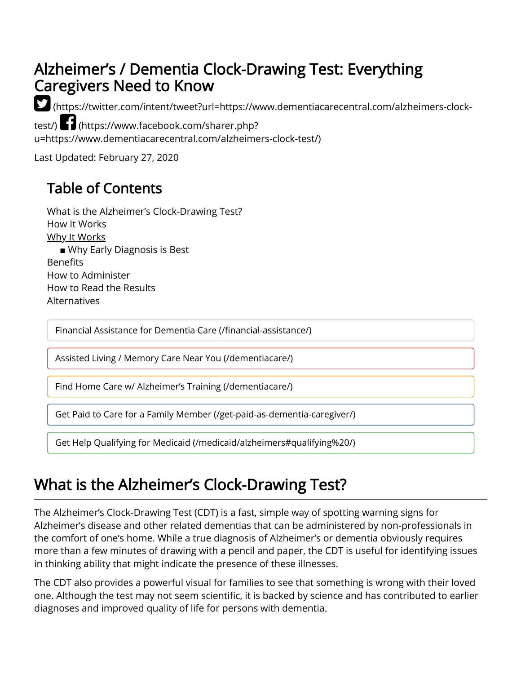### Alzheimer's / Dementia Clock-Drawing Test: Everything Caregivers Need to Know

 [\(https://twitter.com/intent/tweet?url=https://www.dementiacarecentral.com/alzheimers-clock-](https://twitter.com/intent/tweet?url=https://www.dementiacarecentral.com/alzheimers-clock-test/)

test/) (https://www.facebook.com/sharer.php? [u=https://www.dementiacarecentral.com/alzheimers-clock-test/\)](https://www.facebook.com/sharer.php?u=https://www.dementiacarecentral.com/alzheimers-clock-test/)

Last Updated: February 27, 2020

### Table of Contents

[What is the Alzheimer's Clock-Drawing Test?](#page-0-0) [How It Works](#page-1-0) [Why It Works](#page-1-1) **■** [Why Early Diagnosis is Best](#page-2-0) **Benefits** [How to Administer](#page-2-2) [How to Read the Results](#page-3-0) [Alternatives](#page-4-0)

Financial Assistance for Dementia Care (/financial-assistance/)

[Assisted Living / Memory Care Near You \(/dementiacare/\)](https://www.dementiacarecentral.com/dementiacare/)

[Find Home Care w/ Alzheimer's Training \(/dementiacare/\)](https://www.dementiacarecentral.com/dementiacare/)

[Get Paid to Care for a Family Member \(/get-paid-as-dementia-caregiver/\)](https://www.dementiacarecentral.com/get-paid-as-dementia-caregiver/)

[Get Help Qualifying for Medicaid \(/medicaid/alzheimers#qualifying%20/\)](https://www.dementiacarecentral.com/medicaid/alzheimers#qualifying%20/)

## <span id="page-0-0"></span>What is the Alzheimer's Clock-Drawing Test?

The Alzheimer's Clock-Drawing Test (CDT) is a fast, simple way of spotting warning signs for Alzheimer's disease and other related dementias that can be administered by non-professionals in the comfort of one's home. While a true diagnosis of Alzheimer's or dementia obviously requires more than a few minutes of drawing with a pencil and paper, the CDT is useful for identifying issues in thinking ability that might indicate the presence of these illnesses.

The CDT also provides a powerful visual for families to see that something is wrong with their loved one. Although the test may not seem scientific, it is backed by science and has contributed to earlier diagnoses and improved quality of life for persons with dementia.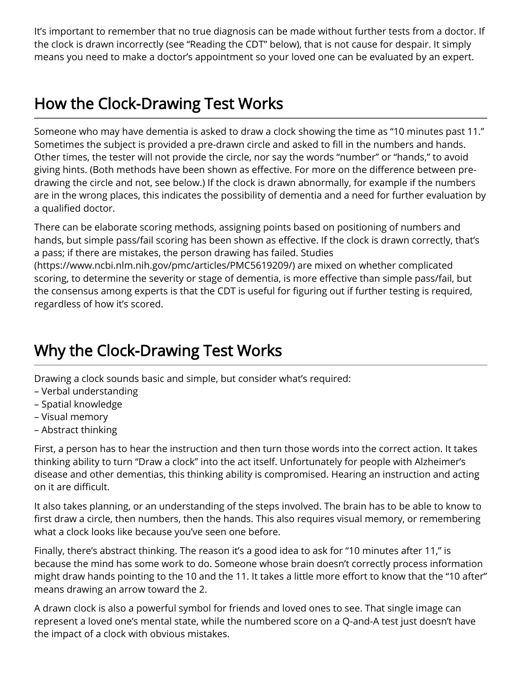It's important to remember that no true diagnosis can be made without further tests from a doctor. If the clock is drawn incorrectly (see "Reading the CDT" below), that is not cause for despair. It simply means you need to make a doctor's appointment so your loved one can be evaluated by an expert.

# <span id="page-1-0"></span>How the Clock-Drawing Test Works

Someone who may have dementia is asked to draw a clock showing the time as "10 minutes past 11." Sometimes the subject is provided a pre-drawn circle and asked to fill in the numbers and hands. Other times, the tester will not provide the circle, nor say the words "number" or "hands," to avoid giving hints. (Both methods have been shown as effective. For more on the difference between predrawing the circle and not, see below.) If the clock is drawn abnormally, for example if the numbers are in the wrong places, this indicates the possibility of dementia and a need for further evaluation by a qualified doctor.

There can be elaborate scoring methods, assigning points based on positioning of numbers and hands, but simple pass/fail scoring has been shown as effective. If the clock is drawn correctly, that's [a pass; if there are mistakes, the person drawing has failed. Studies](https://www.ncbi.nlm.nih.gov/pmc/articles/PMC5619209/) (https://www.ncbi.nlm.nih.gov/pmc/articles/PMC5619209/) are mixed on whether complicated scoring, to determine the severity or stage of dementia, is more effective than simple pass/fail, but the consensus among experts is that the CDT is useful for figuring out if further testing is required, regardless of how it's scored.

# <span id="page-1-1"></span>Why the Clock-Drawing Test Works

Drawing a clock sounds basic and simple, but consider what's required:

- Verbal understanding
- Spatial knowledge
- Visual memory
- Abstract thinking

First, a person has to hear the instruction and then turn those words into the correct action. It takes thinking ability to turn "Draw a clock" into the act itself. Unfortunately for people with Alzheimer's disease and other dementias, this thinking ability is compromised. Hearing an instruction and acting on it are difficult.

It also takes planning, or an understanding of the steps involved. The brain has to be able to know to first draw a circle, then numbers, then the hands. This also requires visual memory, or remembering what a clock looks like because you've seen one before.

Finally, there's abstract thinking. The reason it's a good idea to ask for "10 minutes after 11," is because the mind has some work to do. Someone whose brain doesn't correctly process information might draw hands pointing to the 10 and the 11. It takes a little more effort to know that the "10 after" means drawing an arrow toward the 2.

A drawn clock is also a powerful symbol for friends and loved ones to see. That single image can represent a loved one's mental state, while the numbered score on a Q-and-A test just doesn't have the impact of a clock with obvious mistakes.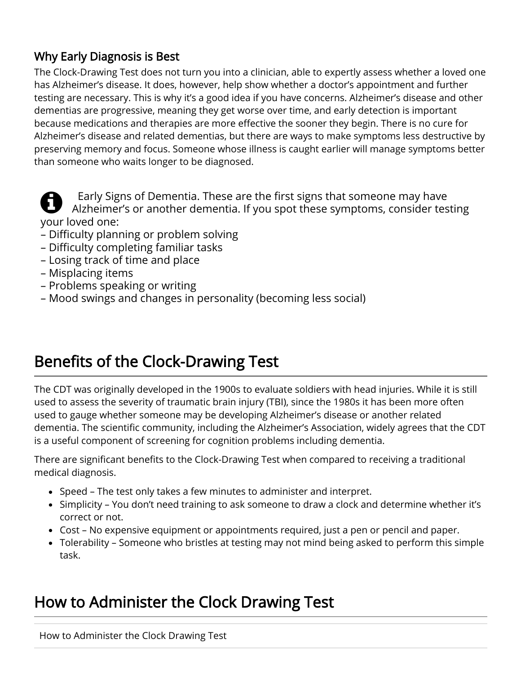#### <span id="page-2-0"></span>Why Early Diagnosis is Best

The Clock-Drawing Test does not turn you into a clinician, able to expertly assess whether a loved one has Alzheimer's disease. It does, however, help show whether a doctor's appointment and further testing are necessary. This is why it's a good idea if you have concerns. Alzheimer's disease and other dementias are progressive, meaning they get worse over time, and early detection is important because medications and therapies are more effective the sooner they begin. There is no cure for Alzheimer's disease and related dementias, but there are ways to make symptoms less destructive by preserving memory and focus. Someone whose illness is caught earlier will manage symptoms better than someone who waits longer to be diagnosed.



Early Signs of Dementia. These are the first signs that someone may have Alzheimer's or another dementia. If you spot these symptoms, consider testing your loved one:

- Difficulty planning or problem solving
- Difficulty completing familiar tasks
- Losing track of time and place
- Misplacing items
- Problems speaking or writing
- Mood swings and changes in personality (becoming less social)

# <span id="page-2-1"></span>Benefits of the Clock-Drawing Test

The CDT was originally developed in the 1900s to evaluate soldiers with head injuries. While it is still used to assess the severity of traumatic brain injury (TBI), since the 1980s it has been more often used to gauge whether someone may be developing Alzheimer's disease or another related dementia. The scientific community, including the Alzheimer's Association, widely agrees that the CDT is a useful component of screening for cognition problems including dementia.

There are significant benefits to the Clock-Drawing Test when compared to receiving a traditional medical diagnosis.

- Speed The test only takes a few minutes to administer and interpret.
- Simplicity You don't need training to ask someone to draw a clock and determine whether it's correct or not.
- Cost No expensive equipment or appointments required, just a pen or pencil and paper.
- Tolerability Someone who bristles at testing may not mind being asked to perform this simple task.

# <span id="page-2-2"></span>How to Administer the Clock Drawing Test

How to Administer the Clock Drawing Test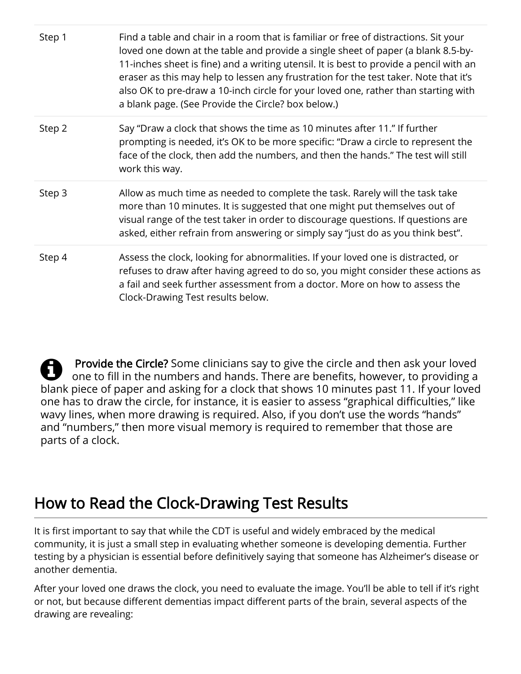| Step 1 | Find a table and chair in a room that is familiar or free of distractions. Sit your<br>loved one down at the table and provide a single sheet of paper (a blank 8.5-by-<br>11-inches sheet is fine) and a writing utensil. It is best to provide a pencil with an<br>eraser as this may help to lessen any frustration for the test taker. Note that it's<br>also OK to pre-draw a 10-inch circle for your loved one, rather than starting with<br>a blank page. (See Provide the Circle? box below.) |
|--------|-------------------------------------------------------------------------------------------------------------------------------------------------------------------------------------------------------------------------------------------------------------------------------------------------------------------------------------------------------------------------------------------------------------------------------------------------------------------------------------------------------|
| Step 2 | Say "Draw a clock that shows the time as 10 minutes after 11." If further<br>prompting is needed, it's OK to be more specific: "Draw a circle to represent the<br>face of the clock, then add the numbers, and then the hands." The test will still<br>work this way.                                                                                                                                                                                                                                 |
| Step 3 | Allow as much time as needed to complete the task. Rarely will the task take<br>more than 10 minutes. It is suggested that one might put themselves out of<br>visual range of the test taker in order to discourage questions. If questions are<br>asked, either refrain from answering or simply say "just do as you think best".                                                                                                                                                                    |
| Step 4 | Assess the clock, looking for abnormalities. If your loved one is distracted, or<br>refuses to draw after having agreed to do so, you might consider these actions as<br>a fail and seek further assessment from a doctor. More on how to assess the<br>Clock-Drawing Test results below.                                                                                                                                                                                                             |

 $\boldsymbol{\Theta}$ Provide the Circle? Some clinicians say to give the circle and then ask your loved one to fill in the numbers and hands. There are benefits, however, to providing a blank piece of paper and asking for a clock that shows 10 minutes past 11. If your loved one has to draw the circle, for instance, it is easier to assess "graphical difficulties," like wavy lines, when more drawing is required. Also, if you don't use the words "hands" and "numbers," then more visual memory is required to remember that those are parts of a clock.

# <span id="page-3-0"></span>How to Read the Clock-Drawing Test Results

It is first important to say that while the CDT is useful and widely embraced by the medical community, it is just a small step in evaluating whether someone is developing dementia. Further testing by a physician is essential before definitively saying that someone has Alzheimer's disease or another dementia.

After your loved one draws the clock, you need to evaluate the image. You'll be able to tell if it's right or not, but because different dementias impact different parts of the brain, several aspects of the drawing are revealing: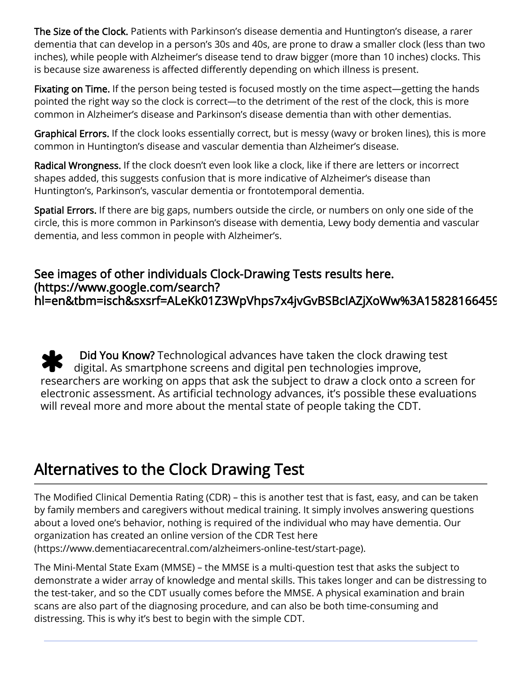The Size of the Clock. Patients with Parkinson's disease dementia and Huntington's disease, a rarer dementia that can develop in a person's 30s and 40s, are prone to draw a smaller clock (less than two inches), while people with Alzheimer's disease tend to draw bigger (more than 10 inches) clocks. This is because size awareness is affected differently depending on which illness is present.

Fixating on Time. If the person being tested is focused mostly on the time aspect—getting the hands pointed the right way so the clock is correct—to the detriment of the rest of the clock, this is more common in Alzheimer's disease and Parkinson's disease dementia than with other dementias.

Graphical Errors. If the clock looks essentially correct, but is messy (wavy or broken lines), this is more common in Huntington's disease and vascular dementia than Alzheimer's disease.

Radical Wrongness. If the clock doesn't even look like a clock, like if there are letters or incorrect shapes added, this suggests confusion that is more indicative of Alzheimer's disease than Huntington's, Parkinson's, vascular dementia or frontotemporal dementia.

Spatial Errors. If there are big gaps, numbers outside the circle, or numbers on only one side of the circle, this is more common in Parkinson's disease with dementia, Lewy body dementia and vascular dementia, and less common in people with Alzheimer's.

#### See images of other individuals Clock-Drawing Tests results here. (https://www.google.com/search? [hl=en&tbm=isch&sxsrf=ALeKk01Z3WpVhps7x4jvGvBSBcIAZjXoWw%3A15828166459](https://www.google.com/search?hl=en&tbm=isch&sxsrf=ALeKk01Z3WpVhps7x4jvGvBSBcIAZjXoWw%3A1582816645926&source=hp&biw=1280&bih=578&ei=hd1XXvSmNcSotQWPyLf4BA&q=clock+drawing+test+results)

 $\ast$  Did You Know? Technological advances have taken the clock drawing test digital. As smartphone screens and digital pen technologies improve, researchers are working on apps that ask the subject to draw a clock onto a screen for electronic assessment. As artificial technology advances, it's possible these evaluations will reveal more and more about the mental state of people taking the CDT.

## <span id="page-4-0"></span>Alternatives to the Clock Drawing Test

The Modified Clinical Dementia Rating (CDR) – this is another test that is fast, easy, and can be taken by family members and caregivers without medical training. It simply involves answering questions about a loved one's behavior, nothing is required of the individual who may have dementia. Our organization has created an online version of the CDR Test here [\(https://www.dementiacarecentral.com/alzheimers-online-test/start-page\)](https://www.dementiacarecentral.com/alzheimers-online-test/start-page).

The Mini-Mental State Exam (MMSE) – the MMSE is a multi-question test that asks the subject to demonstrate a wider array of knowledge and mental skills. This takes longer and can be distressing to the test-taker, and so the CDT usually comes before the MMSE. A physical examination and brain scans are also part of the diagnosing procedure, and can also be both time-consuming and distressing. This is why it's best to begin with the simple CDT.